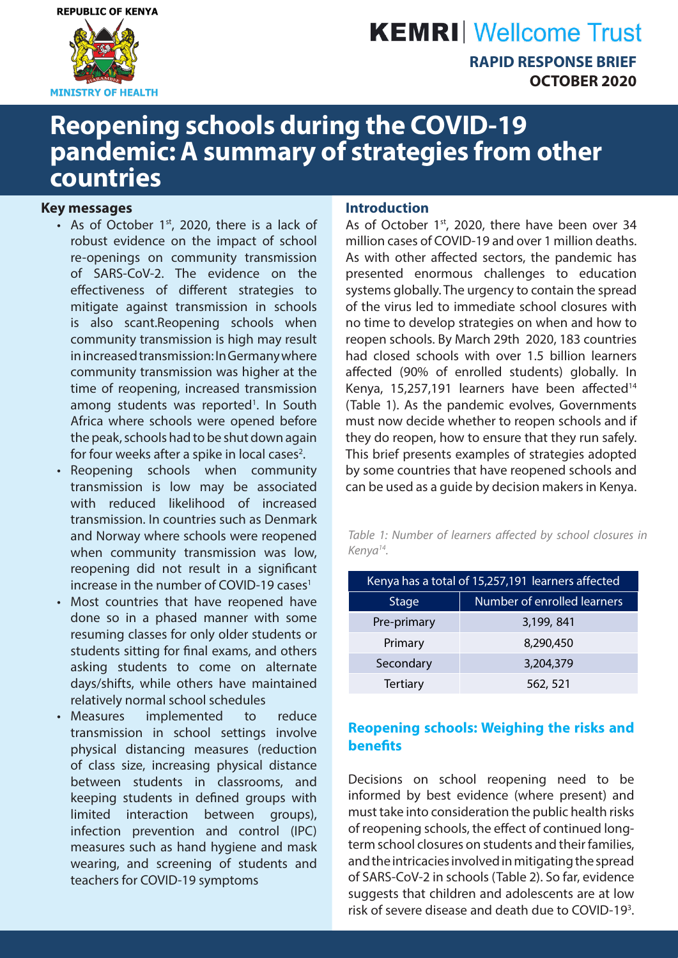

# **KEMRI** Wellcome Trust

**RAPID RESPONSE BRIEF OCTOBER 2020**

## **Reopening schools during the COVID-19 pandemic: A summary of strategies from other countries**

#### **Key messages**

- As of October  $1<sup>st</sup>$ , 2020, there is a lack of robust evidence on the impact of school re-openings on community transmission of SARS-CoV-2. The evidence on the effectiveness of different strategies to mitigate against transmission in schools is also scant.Reopening schools when community transmission is high may result in increased transmission: In Germany where community transmission was higher at the time of reopening, increased transmission among students was reported<sup>1</sup>. In South Africa where schools were opened before the peak, schools had to be shut down again for four weeks after a spike in local cases<sup>2</sup>.
- Reopening schools when community transmission is low may be associated with reduced likelihood of increased transmission. In countries such as Denmark and Norway where schools were reopened when community transmission was low, reopening did not result in a significant increase in the number of COVID-19 cases $1$
- Most countries that have reopened have done so in a phased manner with some resuming classes for only older students or students sitting for final exams, and others asking students to come on alternate days/shifts, while others have maintained relatively normal school schedules
- Measures implemented to reduce transmission in school settings involve physical distancing measures (reduction of class size, increasing physical distance between students in classrooms, and keeping students in defined groups with limited interaction between groups), infection prevention and control (IPC) measures such as hand hygiene and mask wearing, and screening of students and teachers for COVID-19 symptoms

#### **Introduction**

As of October 1st, 2020, there have been over 34 million cases of COVID-19 and over 1 million deaths. As with other affected sectors, the pandemic has presented enormous challenges to education systems globally. The urgency to contain the spread of the virus led to immediate school closures with no time to develop strategies on when and how to reopen schools. By March 29th 2020, 183 countries had closed schools with over 1.5 billion learners affected (90% of enrolled students) globally. In Kenya, 15,257,191 learners have been affected $14$ (Table 1). As the pandemic evolves, Governments must now decide whether to reopen schools and if they do reopen, how to ensure that they run safely. This brief presents examples of strategies adopted by some countries that have reopened schools and can be used as a guide by decision makers in Kenya.

*Table 1: Number of learners affected by school closures in Kenya14.*

| Kenya has a total of 15,257,191 learners affected |                             |  |  |  |  |  |
|---------------------------------------------------|-----------------------------|--|--|--|--|--|
| <b>Stage</b>                                      | Number of enrolled learners |  |  |  |  |  |
| Pre-primary                                       | 3,199, 841                  |  |  |  |  |  |
| Primary                                           | 8,290,450                   |  |  |  |  |  |
| Secondary                                         | 3,204,379                   |  |  |  |  |  |
| <b>Tertiary</b>                                   | 562, 521                    |  |  |  |  |  |

## **Reopening schools: Weighing the risks and benefits**

Decisions on school reopening need to be informed by best evidence (where present) and must take into consideration the public health risks of reopening schools, the effect of continued longterm school closures on students and their families, and the intricacies involved in mitigating the spread of SARS-CoV-2 in schools (Table 2). So far, evidence suggests that children and adolescents are at low risk of severe disease and death due to COVID-19<sup>3</sup>.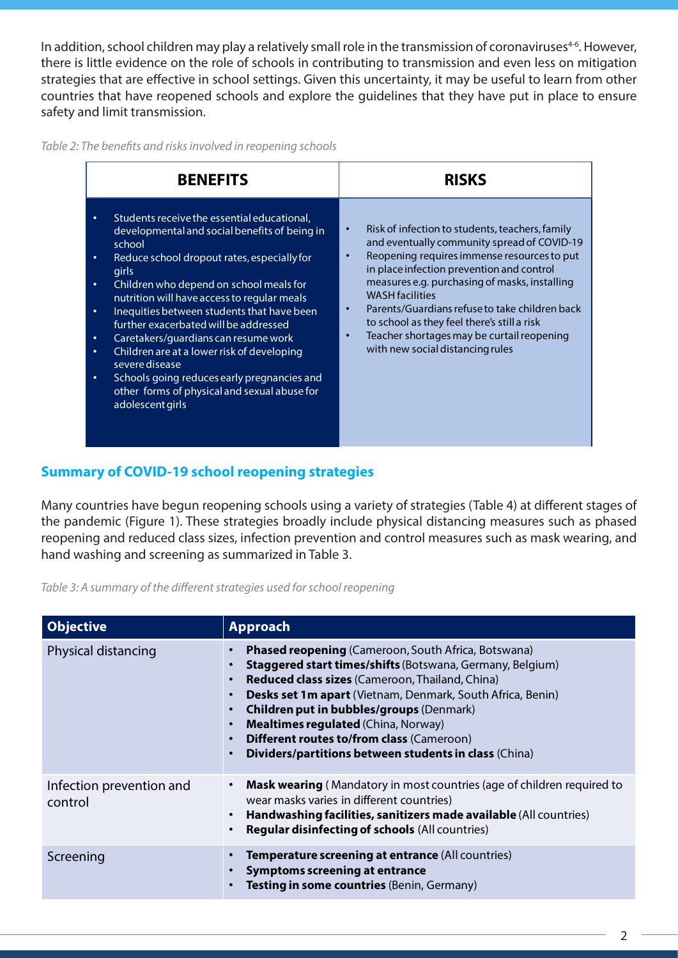In addition, school children may play a relatively small role in the transmission of coronaviruses<sup>4-6</sup>. However, there is little evidence on the role of schools in contributing to transmission and even less on mitigation strategies that are effective in school settings. Given this uncertainty, it may be useful to learn from other countries that have reopened schools and explore the guidelines that they have put in place to ensure safety and limit transmission.

*Table 2: The benefits and risks involved in reopening schools*

| <b>BENEFITS</b>                                                                                                                                                                                                                                                                                                                                                                                                                                                                                                                                                                                          | <b>RISKS</b>                                                                                                                                                                                                                                                                                                                                                                                                                                                          |
|----------------------------------------------------------------------------------------------------------------------------------------------------------------------------------------------------------------------------------------------------------------------------------------------------------------------------------------------------------------------------------------------------------------------------------------------------------------------------------------------------------------------------------------------------------------------------------------------------------|-----------------------------------------------------------------------------------------------------------------------------------------------------------------------------------------------------------------------------------------------------------------------------------------------------------------------------------------------------------------------------------------------------------------------------------------------------------------------|
| Students receive the essential educational,<br>developmental and social benefits of being in<br>school<br>Reduce school dropout rates, especially for<br>٠<br>girls<br>Children who depend on school meals for<br>٠<br>nutrition will have access to regular meals<br>Inequities between students that have been<br>٠<br>further exacerbated will be addressed<br>Caretakers/guardians can resume work<br>٠<br>Children are at a lower risk of developing<br>٠<br>severe disease<br>Schools going reduces early pregnancies and<br>٠<br>other forms of physical and sexual abuse for<br>adolescent girls | Risk of infection to students, teachers, family<br>and eventually community spread of COVID-19<br>Reopening requires immense resources to put<br>in place infection prevention and control<br>measures e.g. purchasing of masks, installing<br><b>WASH</b> facilities<br>Parents/Guardians refuse to take children back<br>to school as they feel there's still a risk<br>Teacher shortages may be curtail reopening<br>$\bullet$<br>with new social distancing rules |

## **Summary of COVID-19 school reopening strategies**

Many countries have begun reopening schools using a variety of strategies (Table 4) at different stages of the pandemic (Figure 1). These strategies broadly include physical distancing measures such as phased reopening and reduced class sizes, infection prevention and control measures such as mask wearing, and hand washing and screening as summarized in Table 3.

*Table 3: A summary of the different strategies used for school reopening*

| <b>Objective</b>                    | <b>Approach</b>                                                                                                                                                                                                                                                                                                                                                                                                                                                      |
|-------------------------------------|----------------------------------------------------------------------------------------------------------------------------------------------------------------------------------------------------------------------------------------------------------------------------------------------------------------------------------------------------------------------------------------------------------------------------------------------------------------------|
| Physical distancing                 | <b>Phased reopening (Cameroon, South Africa, Botswana)</b><br><b>Staggered start times/shifts</b> (Botswana, Germany, Belgium)<br><b>Reduced class sizes</b> (Cameroon, Thailand, China)<br>Desks set 1m apart (Vietnam, Denmark, South Africa, Benin)<br><b>Children put in bubbles/groups (Denmark)</b><br><b>Mealtimes regulated (China, Norway)</b><br><b>Different routes to/from class (Cameroon)</b><br>Dividers/partitions between students in class (China) |
| Infection prevention and<br>control | Mask wearing (Mandatory in most countries (age of children required to<br>wear masks varies in different countries)<br>Handwashing facilities, sanitizers made available (All countries)<br><b>Regular disinfecting of schools (All countries)</b>                                                                                                                                                                                                                   |
| Screening                           | Temperature screening at entrance (All countries)<br><b>Symptoms screening at entrance</b><br>Testing in some countries (Benin, Germany)                                                                                                                                                                                                                                                                                                                             |

2  $\overline{\phantom{0}}$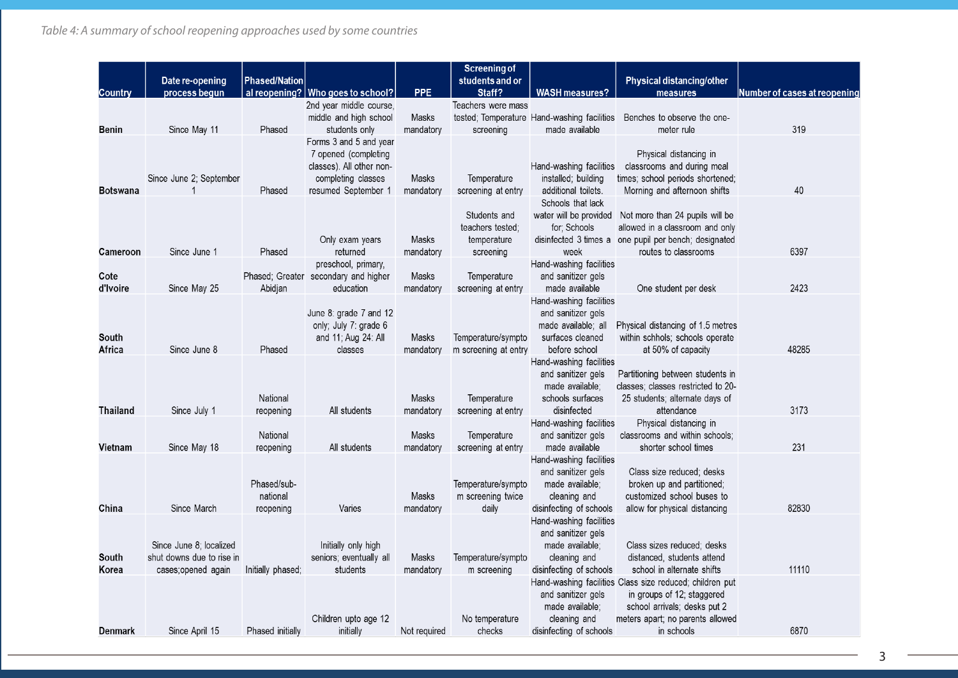|                  | Date re-opening                                                            | Phased/Nation                        |                                                                                                                         |                           | <b>Screening of</b><br>students and or                       |                                                                                                             | Physical distancing/other                                                                                                                                                   |                              |
|------------------|----------------------------------------------------------------------------|--------------------------------------|-------------------------------------------------------------------------------------------------------------------------|---------------------------|--------------------------------------------------------------|-------------------------------------------------------------------------------------------------------------|-----------------------------------------------------------------------------------------------------------------------------------------------------------------------------|------------------------------|
| Country          | process begun                                                              |                                      | al reopening?   Who goes to school?                                                                                     | <b>PPE</b>                | Staff?                                                       | <b>WASH measures?</b>                                                                                       | measures                                                                                                                                                                    | Number of cases at reopening |
| Benin            | Since May 11                                                               | Phased                               | 2nd year middle course,<br>middle and high school<br>students only                                                      | Masks<br>mandatory        | Teachers were mass<br>screening                              | tested; Temperature Hand-washing facilities<br>made available                                               | Benches to observe the one-<br>meter rule                                                                                                                                   | 319                          |
| Botswana         | Since June 2; September<br>$\mathbf 1$                                     | Phased                               | Forms 3 and 5 and year<br>7 opened (completing<br>classes). All other non-<br>completing classes<br>resumed September 1 | Masks<br>mandatory        | Temperature<br>screening at entry                            | Hand-washing facilities<br>installed; building<br>additional toilets.                                       | Physical distancing in<br>classrooms and during meal<br>times; school periods shortened;<br>Morning and afternoon shifts                                                    | 40                           |
| Cameroon         | Since June 1                                                               | Phased                               | Only exam years<br>returned                                                                                             | Masks<br>mandatory        | Students and<br>teachers tested:<br>temperature<br>screening | Schools that lack<br>for; Schools<br>week                                                                   | water will be provided  Not more than 24 pupils will be<br>allowed in a classroom and only<br>disinfected 3 times a one pupil per bench; designated<br>routes to classrooms | 6397                         |
| Cote<br>d'Ivoire | Since May 25                                                               | Abidjan                              | preschool, primary,<br>Phased; Greater secondary and higher<br>education                                                | Masks<br>mandatory        | Temperature<br>screening at entry                            | Hand-washing facilities<br>and sanitizer gels<br>made available                                             | One student per desk                                                                                                                                                        | 2423                         |
| South<br>Africa  | Since June 8                                                               | Phased                               | June 8: grade 7 and 12<br>only; July 7: grade 6<br>and 11; Aug 24: All<br>classes                                       | Masks<br>mandatory        | Temperature/sympto<br>m screening at entry                   | Hand-washing facilities<br>and sanitizer gels<br>made available; all<br>surfaces cleaned<br>before school   | Physical distancing of 1.5 metres<br>within schhols; schools operate<br>at 50% of capacity                                                                                  | 48285                        |
| <b>Thailand</b>  | Since July 1                                                               | National<br>reopening                | All students                                                                                                            | Masks<br>mandatory        | Temperature<br>screening at entry                            | Hand-washing facilities<br>and sanitizer gels<br>made available;<br>schools surfaces<br>disinfected         | Partitioning between students in<br>classes; classes restricted to 20-<br>25 students; alternate days of<br>attendance                                                      | 3173                         |
| Vietnam          | Since May 18                                                               | National<br>reopening                | All students                                                                                                            | Masks<br>mandatory        | Temperature<br>screening at entry                            | Hand-washing facilities<br>and sanitizer gels<br>made available                                             | Physical distancing in<br>classrooms and within schools;<br>shorter school times                                                                                            | 231                          |
| China            | Since March                                                                | Phased/sub-<br>national<br>reopening | Varies                                                                                                                  | Masks<br>mandatory        | Temperature/sympto<br>m screening twice<br>daily             | Hand-washing facilities<br>and sanitizer gels<br>made available;<br>cleaning and<br>disinfecting of schools | Class size reduced; desks<br>broken up and partitioned;<br>customized school buses to<br>allow for physical distancing                                                      | 82830                        |
| South<br>Korea   | Since June 8: localized<br>shut downs due to rise in<br>cases;opened again | Initially phased;                    | Initially only high<br>seniors; eventually all<br>students                                                              | <b>Masks</b><br>mandatory | Temperature/sympto<br>m screening                            | Hand-washing facilities<br>and sanitizer gels<br>made available;<br>cleaning and<br>disinfecting of schools | Class sizes reduced; desks<br>distanced, students attend<br>school in alternate shifts                                                                                      | 11110                        |
| Denmark          | Since April 15                                                             | Phased initially                     | Children upto age 12<br>initially                                                                                       | Not required              | No temperature<br>checks                                     | and sanitizer gels<br>made available;<br>cleaning and<br>disinfecting of schools                            | Hand-washing facilities Class size reduced; children put<br>in groups of 12; staggered<br>school arrivals; desks put 2<br>meters apart; no parents allowed<br>in schools    | 6870                         |

3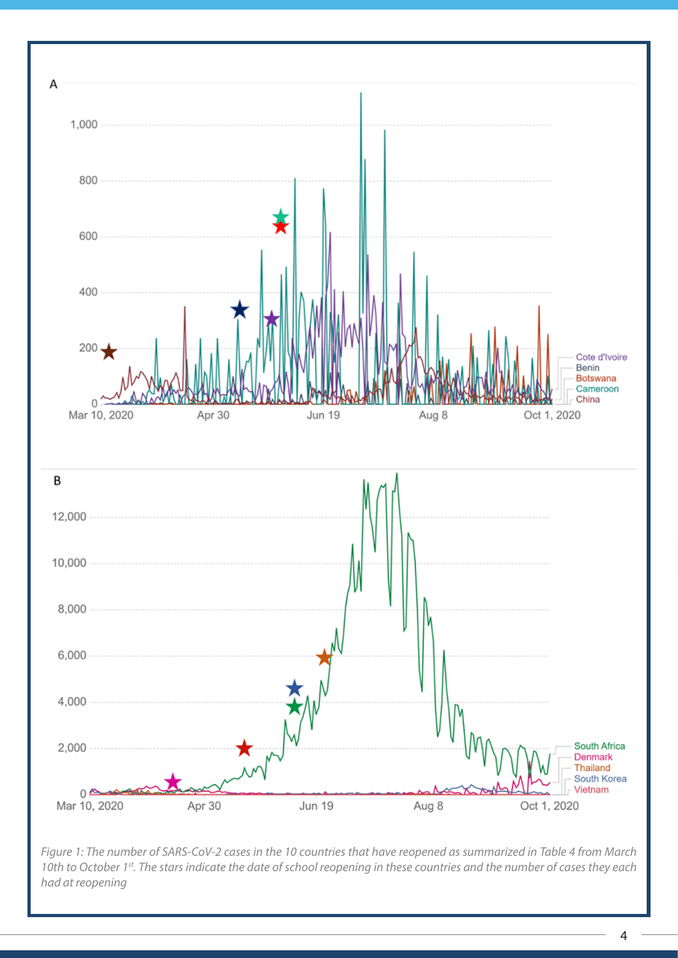

*Figure 1: The number of SARS-CoV-2 cases in the 10 countries that have reopened as summarized in Table 4 from March 10th to October 1st. The stars indicate the date of school reopening in these countries and the number of cases they each had at reopening* 

 $4 \ \overline{\phantom{1}}$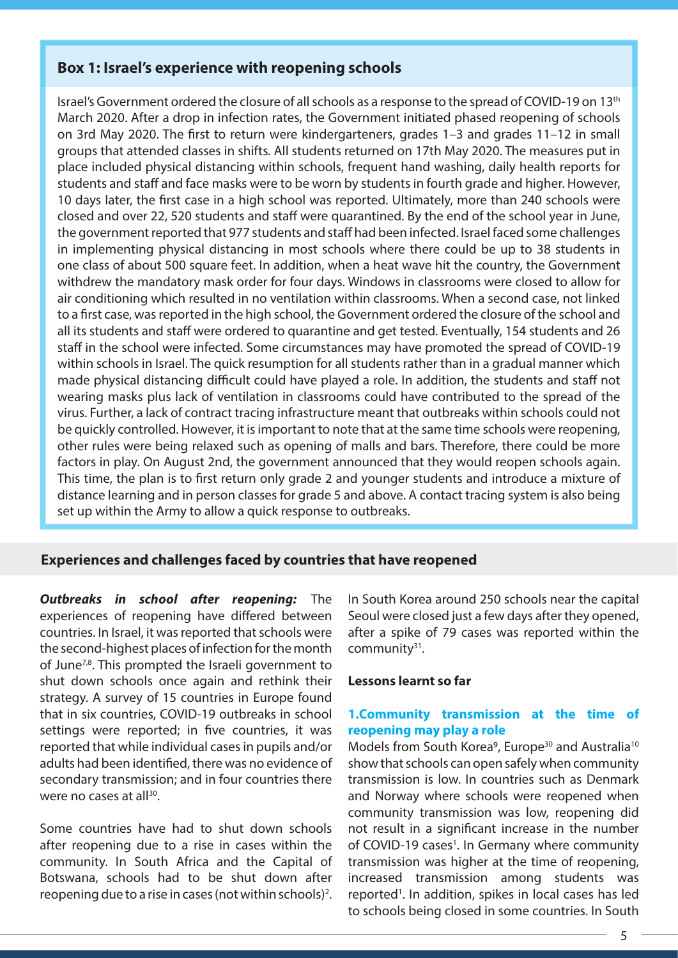## **Box 1: Israel's experience with reopening schools**

Israel's Government ordered the closure of all schools as a response to the spread of COVID-19 on 13th March 2020. After a drop in infection rates, the Government initiated phased reopening of schools on 3rd May 2020. The first to return were kindergarteners, grades 1–3 and grades 11–12 in small groups that attended classes in shifts. All students returned on 17th May 2020. The measures put in place included physical distancing within schools, frequent hand washing, daily health reports for students and staff and face masks were to be worn by students in fourth grade and higher. However, 10 days later, the first case in a high school was reported. Ultimately, more than 240 schools were closed and over 22, 520 students and staff were quarantined. By the end of the school year in June, the government reported that 977 students and staff had been infected. Israel faced some challenges in implementing physical distancing in most schools where there could be up to 38 students in one class of about 500 square feet. In addition, when a heat wave hit the country, the Government withdrew the mandatory mask order for four days. Windows in classrooms were closed to allow for air conditioning which resulted in no ventilation within classrooms. When a second case, not linked to a first case, was reported in the high school, the Government ordered the closure of the school and all its students and staff were ordered to quarantine and get tested. Eventually, 154 students and 26 staff in the school were infected. Some circumstances may have promoted the spread of COVID-19 within schools in Israel. The quick resumption for all students rather than in a gradual manner which made physical distancing difficult could have played a role. In addition, the students and staff not wearing masks plus lack of ventilation in classrooms could have contributed to the spread of the virus. Further, a lack of contract tracing infrastructure meant that outbreaks within schools could not be quickly controlled. However, it is important to note that at the same time schools were reopening, other rules were being relaxed such as opening of malls and bars. Therefore, there could be more factors in play. On August 2nd, the government announced that they would reopen schools again. This time, the plan is to first return only grade 2 and younger students and introduce a mixture of distance learning and in person classes for grade 5 and above. A contact tracing system is also being set up within the Army to allow a quick response to outbreaks.

#### **Experiences and challenges faced by countries that have reopened**

*Outbreaks in school after reopening:* The experiences of reopening have differed between countries. In Israel, it was reported that schools were the second-highest places of infection for the month of June<sup>7,8</sup>. This prompted the Israeli government to shut down schools once again and rethink their strategy. A survey of 15 countries in Europe found that in six countries, COVID-19 outbreaks in school settings were reported; in five countries, it was reported that while individual cases in pupils and/or adults had been identified, there was no evidence of secondary transmission; and in four countries there were no cases at all $30$ .

Some countries have had to shut down schools after reopening due to a rise in cases within the community. In South Africa and the Capital of Botswana, schools had to be shut down after reopening due to a rise in cases (not within schools)<sup>2</sup>. In South Korea around 250 schools near the capital Seoul were closed just a few days after they opened, after a spike of 79 cases was reported within the community31.

#### **Lessons learnt so far**

#### **1.Community transmission at the time of reopening may play a role**

Models from South Korea<sup>9</sup>, Europe<sup>30</sup> and Australia<sup>10</sup> show that schools can open safely when community transmission is low. In countries such as Denmark and Norway where schools were reopened when community transmission was low, reopening did not result in a significant increase in the number of COVID-19 cases<sup>1</sup>. In Germany where community transmission was higher at the time of reopening, increased transmission among students was reported<sup>1</sup>. In addition, spikes in local cases has led to schools being closed in some countries. In South

<u>4 5 April 2005 - Andrea State and American State and American State and American State and American State and</u>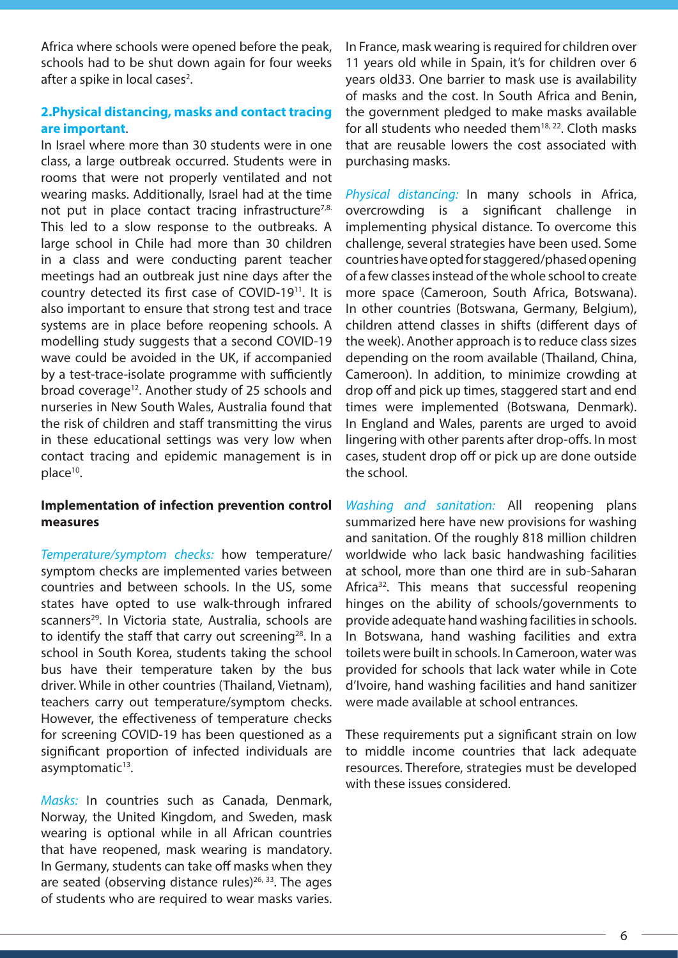Africa where schools were opened before the peak, schools had to be shut down again for four weeks after a spike in local cases<sup>2</sup>.

## **2.Physical distancing, masks and contact tracing are important**.

In Israel where more than 30 students were in one class, a large outbreak occurred. Students were in rooms that were not properly ventilated and not wearing masks. Additionally, Israel had at the time not put in place contact tracing infrastructure<sup>7,8.</sup> This led to a slow response to the outbreaks. A large school in Chile had more than 30 children in a class and were conducting parent teacher meetings had an outbreak just nine days after the country detected its first case of COVID-1911. It is also important to ensure that strong test and trace systems are in place before reopening schools. A modelling study suggests that a second COVID-19 wave could be avoided in the UK, if accompanied by a test-trace-isolate programme with sufficiently broad coverage<sup>12</sup>. Another study of 25 schools and nurseries in New South Wales, Australia found that the risk of children and staff transmitting the virus in these educational settings was very low when contact tracing and epidemic management is in place<sup>10</sup>.

#### **Implementation of infection prevention control measures**

*Temperature/symptom checks:* how temperature/ symptom checks are implemented varies between countries and between schools. In the US, some states have opted to use walk-through infrared scanners<sup>29</sup>. In Victoria state, Australia, schools are to identify the staff that carry out screening<sup>28</sup>. In a school in South Korea, students taking the school bus have their temperature taken by the bus driver. While in other countries (Thailand, Vietnam), teachers carry out temperature/symptom checks. However, the effectiveness of temperature checks for screening COVID-19 has been questioned as a significant proportion of infected individuals are asymptomatic<sup>13</sup>.

*Masks:* In countries such as Canada, Denmark, Norway, the United Kingdom, and Sweden, mask wearing is optional while in all African countries that have reopened, mask wearing is mandatory. In Germany, students can take off masks when they are seated (observing distance rules) $26, 33$ . The ages of students who are required to wear masks varies.

In France, mask wearing is required for children over 11 years old while in Spain, it's for children over 6 years old33. One barrier to mask use is availability of masks and the cost. In South Africa and Benin, the government pledged to make masks available for all students who needed them $18, 22$ . Cloth masks that are reusable lowers the cost associated with purchasing masks.

*Physical distancing:* In many schools in Africa, overcrowding is a significant challenge in implementing physical distance. To overcome this challenge, several strategies have been used. Some countries have opted for staggered/phased opening of a few classes instead of the whole school to create more space (Cameroon, South Africa, Botswana). In other countries (Botswana, Germany, Belgium), children attend classes in shifts (different days of the week). Another approach is to reduce class sizes depending on the room available (Thailand, China, Cameroon). In addition, to minimize crowding at drop off and pick up times, staggered start and end times were implemented (Botswana, Denmark). In England and Wales, parents are urged to avoid lingering with other parents after drop-offs. In most cases, student drop off or pick up are done outside the school.

*Washing and sanitation:* All reopening plans summarized here have new provisions for washing and sanitation. Of the roughly 818 million children worldwide who lack basic handwashing facilities at school, more than one third are in sub-Saharan Africa<sup>32</sup>. This means that successful reopening hinges on the ability of schools/governments to provide adequate hand washing facilities in schools. In Botswana, hand washing facilities and extra toilets were built in schools. In Cameroon, water was provided for schools that lack water while in Cote d'Ivoire, hand washing facilities and hand sanitizer were made available at school entrances.

These requirements put a significant strain on low to middle income countries that lack adequate resources. Therefore, strategies must be developed with these issues considered.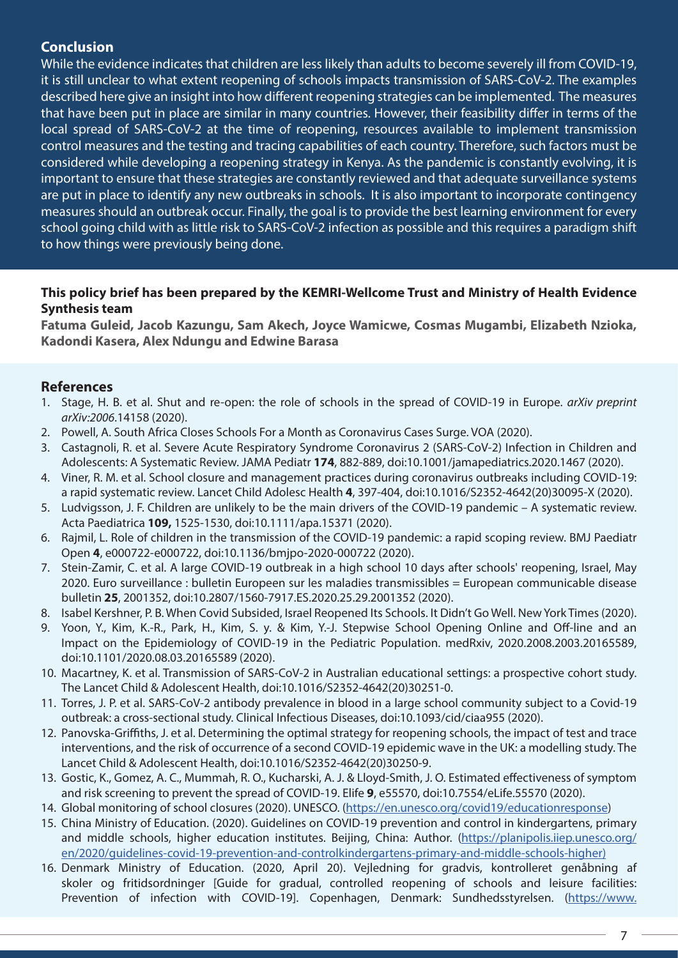## **Conclusion**

While the evidence indicates that children are less likely than adults to become severely ill from COVID-19, it is still unclear to what extent reopening of schools impacts transmission of SARS-CoV-2. The examples described here give an insight into how different reopening strategies can be implemented. The measures that have been put in place are similar in many countries. However, their feasibility differ in terms of the local spread of SARS-CoV-2 at the time of reopening, resources available to implement transmission control measures and the testing and tracing capabilities of each country. Therefore, such factors must be considered while developing a reopening strategy in Kenya. As the pandemic is constantly evolving, it is important to ensure that these strategies are constantly reviewed and that adequate surveillance systems are put in place to identify any new outbreaks in schools. It is also important to incorporate contingency measures should an outbreak occur. Finally, the goal is to provide the best learning environment for every school going child with as little risk to SARS-CoV-2 infection as possible and this requires a paradigm shift to how things were previously being done.

## **This policy brief has been prepared by the KEMRI-Wellcome Trust and Ministry of Health Evidence Synthesis team**

**Fatuma Guleid, Jacob Kazungu, Sam Akech, Joyce Wamicwe, Cosmas Mugambi, Elizabeth Nzioka, Kadondi Kasera, Alex Ndungu and Edwine Barasa**

## **References**

- 1. Stage, H. B. et al. Shut and re-open: the role of schools in the spread of COVID-19 in Europe. *arXiv preprint arXiv:2006*.14158 (2020).
- 2. Powell, A. South Africa Closes Schools For a Month as Coronavirus Cases Surge. VOA (2020).
- 3. Castagnoli, R. et al. Severe Acute Respiratory Syndrome Coronavirus 2 (SARS-CoV-2) Infection in Children and Adolescents: A Systematic Review. JAMA Pediatr **174**, 882-889, doi:10.1001/jamapediatrics.2020.1467 (2020).
- 4. Viner, R. M. et al. School closure and management practices during coronavirus outbreaks including COVID-19: a rapid systematic review. Lancet Child Adolesc Health **4**, 397-404, doi:10.1016/S2352-4642(20)30095-X (2020).
- 5. Ludvigsson, J. F. Children are unlikely to be the main drivers of the COVID-19 pandemic A systematic review. Acta Paediatrica **109,** 1525-1530, doi:10.1111/apa.15371 (2020).
- 6. Rajmil, L. Role of children in the transmission of the COVID-19 pandemic: a rapid scoping review. BMJ Paediatr Open **4**, e000722-e000722, doi:10.1136/bmjpo-2020-000722 (2020).
- 7. Stein-Zamir, C. et al. A large COVID-19 outbreak in a high school 10 days after schools' reopening, Israel, May 2020. Euro surveillance : bulletin Europeen sur les maladies transmissibles = European communicable disease bulletin **25**, 2001352, doi:10.2807/1560-7917.ES.2020.25.29.2001352 (2020).
- 8. Isabel Kershner, P. B. When Covid Subsided, Israel Reopened Its Schools. It Didn't Go Well. New York Times (2020).
- 9. Yoon, Y., Kim, K.-R., Park, H., Kim, S. y. & Kim, Y.-J. Stepwise School Opening Online and Off-line and an Impact on the Epidemiology of COVID-19 in the Pediatric Population. medRxiv, 2020.2008.2003.20165589, doi:10.1101/2020.08.03.20165589 (2020).
- 10. Macartney, K. et al. Transmission of SARS-CoV-2 in Australian educational settings: a prospective cohort study. The Lancet Child & Adolescent Health, doi:10.1016/S2352-4642(20)30251-0.
- 11. Torres, J. P. et al. SARS-CoV-2 antibody prevalence in blood in a large school community subject to a Covid-19 outbreak: a cross-sectional study. Clinical Infectious Diseases, doi:10.1093/cid/ciaa955 (2020).
- 12. Panovska-Griffiths, J. et al. Determining the optimal strategy for reopening schools, the impact of test and trace interventions, and the risk of occurrence of a second COVID-19 epidemic wave in the UK: a modelling study. The Lancet Child & Adolescent Health, doi:10.1016/S2352-4642(20)30250-9.
- 13. Gostic, K., Gomez, A. C., Mummah, R. O., Kucharski, A. J. & Lloyd-Smith, J. O. Estimated effectiveness of symptom and risk screening to prevent the spread of COVID-19. Elife **9**, e55570, doi:10.7554/eLife.55570 (2020).
- 14. Global monitoring of school closures (2020). UNESCO. (https://en.unesco.org/covid19/educationresponse)
- 15. China Ministry of Education. (2020). Guidelines on COVID-19 prevention and control in kindergartens, primary and middle schools, higher education institutes. Beijing, China: Author. (https://planipolis.iiep.unesco.org/ en/2020/guidelines-covid-19-prevention-and-controlkindergartens-primary-and-middle-schools-higher)
- 16. Denmark Ministry of Education. (2020, April 20). Vejledning for gradvis, kontrolleret genåbning af skoler og fritidsordninger [Guide for gradual, controlled reopening of schools and leisure facilities: Prevention of infection with COVID-19]. Copenhagen, Denmark: Sundhedsstyrelsen. (https://www.

<u>– September – September – September – September – September – September – September – September – September –</u>